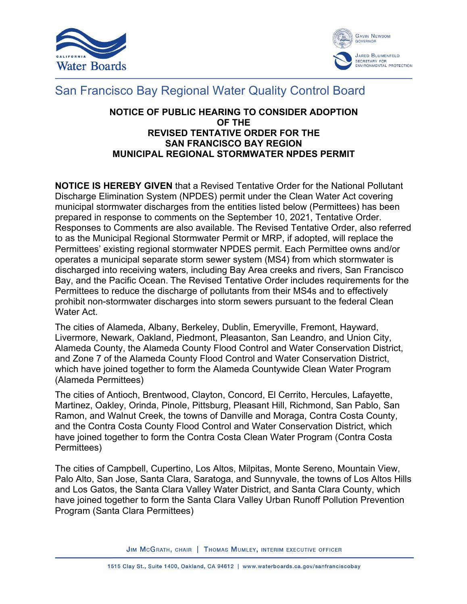



## San Francisco Bay Regional Water Quality Control Board

## **NOTICE OF PUBLIC HEARING TO CONSIDER ADOPTION OF THE REVISED TENTATIVE ORDER FOR THE SAN FRANCISCO BAY REGION MUNICIPAL REGIONAL STORMWATER NPDES PERMIT**

**NOTICE IS HEREBY GIVEN** that a Revised Tentative Order for the National Pollutant Discharge Elimination System (NPDES) permit under the Clean Water Act covering municipal stormwater discharges from the entities listed below (Permittees) has been prepared in response to comments on the September 10, 2021, Tentative Order. Responses to Comments are also available. The Revised Tentative Order, also referred to as the Municipal Regional Stormwater Permit or MRP, if adopted, will replace the Permittees' existing regional stormwater NPDES permit. Each Permittee owns and/or operates a municipal separate storm sewer system (MS4) from which stormwater is discharged into receiving waters, including Bay Area creeks and rivers, San Francisco Bay, and the Pacific Ocean. The Revised Tentative Order includes requirements for the Permittees to reduce the discharge of pollutants from their MS4s and to effectively prohibit non-stormwater discharges into storm sewers pursuant to the federal Clean Water Act.

The cities of Alameda, Albany, Berkeley, Dublin, Emeryville, Fremont, Hayward, Livermore, Newark, Oakland, Piedmont, Pleasanton, San Leandro, and Union City, Alameda County, the Alameda County Flood Control and Water Conservation District, and Zone 7 of the Alameda County Flood Control and Water Conservation District, which have joined together to form the Alameda Countywide Clean Water Program (Alameda Permittees)

The cities of Antioch, Brentwood, Clayton, Concord, El Cerrito, Hercules, Lafayette, Martinez, Oakley, Orinda, Pinole, Pittsburg, Pleasant Hill, Richmond, San Pablo, San Ramon, and Walnut Creek, the towns of Danville and Moraga, Contra Costa County, and the Contra Costa County Flood Control and Water Conservation District, which have joined together to form the Contra Costa Clean Water Program (Contra Costa Permittees)

The cities of Campbell, Cupertino, Los Altos, Milpitas, Monte Sereno, Mountain View, Palo Alto, San Jose, Santa Clara, Saratoga, and Sunnyvale, the towns of Los Altos Hills and Los Gatos, the Santa Clara Valley Water District, and Santa Clara County, which have joined together to form the Santa Clara Valley Urban Runoff Pollution Prevention Program (Santa Clara Permittees)

JIM MCGRATH, CHAIR | THOMAS MUMLEY, INTERIM EXECUTIVE OFFICER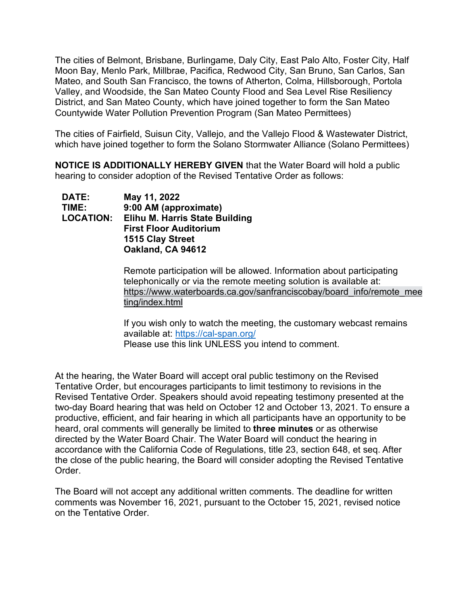The cities of Belmont, Brisbane, Burlingame, Daly City, East Palo Alto, Foster City, Half Moon Bay, Menlo Park, Millbrae, Pacifica, Redwood City, San Bruno, San Carlos, San Mateo, and South San Francisco, the towns of Atherton, Colma, Hillsborough, Portola Valley, and Woodside, the San Mateo County Flood and Sea Level Rise Resiliency District, and San Mateo County, which have joined together to form the San Mateo Countywide Water Pollution Prevention Program (San Mateo Permittees)

The cities of Fairfield, Suisun City, Vallejo, and the Vallejo Flood & Wastewater District, which have joined together to form the Solano Stormwater Alliance (Solano Permittees)

**NOTICE IS ADDITIONALLY HEREBY GIVEN** that the Water Board will hold a public hearing to consider adoption of the Revised Tentative Order as follows:

| <b>DATE:</b>     | May 11, 2022                          |
|------------------|---------------------------------------|
| TIME:            | 9:00 AM (approximate)                 |
| <b>LOCATION:</b> | <b>Elihu M. Harris State Building</b> |
|                  | <b>First Floor Auditorium</b>         |
|                  | 1515 Clay Street                      |
|                  | Oakland, CA 94612                     |

Remote participation will be allowed. Information about participating telephonically or via the remote meeting solution is available at: [https://www.waterboards.ca.gov/sanfranciscobay/board\\_info/remote\\_mee](https://www.waterboards.ca.gov/sanfranciscobay/board_info/remote_meeting/index.html) [ting/index.html](https://www.waterboards.ca.gov/sanfranciscobay/board_info/remote_meeting/index.html) 

If you wish only to watch the meeting, the customary webcast remains available at:<https://cal-span.org/> Please use this link UNLESS you intend to comment.

At the hearing, the Water Board will accept oral public testimony on the Revised Tentative Order, but encourages participants to limit testimony to revisions in the Revised Tentative Order. Speakers should avoid repeating testimony presented at the two-day Board hearing that was held on October 12 and October 13, 2021. To ensure a productive, efficient, and fair hearing in which all participants have an opportunity to be heard, oral comments will generally be limited to **three minutes** or as otherwise directed by the Water Board Chair. The Water Board will conduct the hearing in accordance with the California Code of Regulations, title 23, section 648, et seq. After the close of the public hearing, the Board will consider adopting the Revised Tentative Order.

The Board will not accept any additional written comments. The deadline for written comments was November 16, 2021, pursuant to the October 15, 2021, revised notice on the Tentative Order.